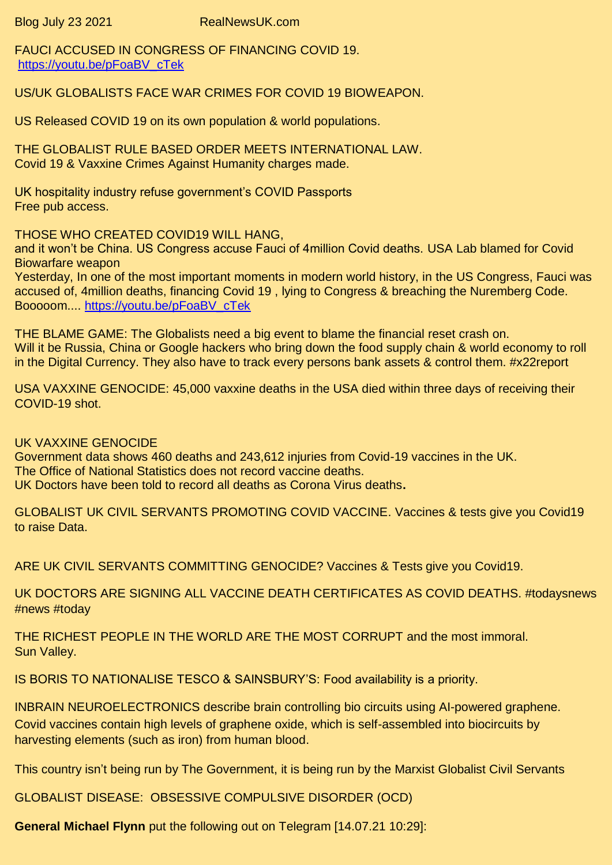Blog July 23 2021 RealNewsUK.com

FAUCI ACCUSED IN CONGRESS OF FINANCING COVID 19. [https://youtu.be/pFoaBV\\_cTek](https://youtu.be/pFoaBV_cTek)

US/UK GLOBALISTS FACE WAR CRIMES FOR COVID 19 BIOWEAPON.

US Released COVID 19 on its own population & world populations.

THE GLOBALIST RULE BASED ORDER MEETS INTERNATIONAL LAW. Covid 19 & Vaxxine Crimes Against Humanity charges made.

UK hospitality industry refuse government's COVID Passports Free pub access.

THOSE WHO CREATED COVID19 WILL HANG,

and it won't be China. US Congress accuse Fauci of 4million Covid deaths. USA Lab blamed for Covid Biowarfare weapon

Yesterday, In one of the most important moments in modern world history, in the US Congress, Fauci was accused of, 4million deaths, financing Covid 19 , lying to Congress & breaching the Nuremberg Code. Booooom.... [https://youtu.be/pFoaBV\\_cTek](https://youtu.be/pFoaBV_cTek)

THE BLAME GAME: The Globalists need a big event to blame the financial reset crash on. Will it be Russia, China or Google hackers who bring down the food supply chain & world economy to roll in the Digital Currency. They also have to track every persons bank assets & control them. #x22report

USA VAXXINE GENOCIDE: 45,000 vaxxine deaths in the USA died within three days of receiving their COVID-19 shot.

## UK VAXXINE GENOCIDE

Government data shows 460 deaths and 243,612 injuries from Covid-19 vaccines in the UK. The Office of National Statistics does not record vaccine deaths. UK Doctors have been told to record all deaths as Corona Virus deaths**.**

GLOBALIST UK CIVIL SERVANTS PROMOTING COVID VACCINE. Vaccines & tests give you Covid19 to raise Data.

ARE UK CIVIL SERVANTS COMMITTING GENOCIDE? Vaccines & Tests give you Covid19.

UK DOCTORS ARE SIGNING ALL VACCINE DEATH CERTIFICATES AS COVID DEATHS. #todaysnews #news #today

THE RICHEST PEOPLE IN THE WORLD ARE THE MOST CORRUPT and the most immoral. Sun Valley.

IS BORIS TO NATIONALISE TESCO & SAINSBURY'S: Food availability is a priority.

INBRAIN NEUROELECTRONICS describe brain controlling bio circuits using AI-powered graphene. Covid vaccines contain high levels of graphene oxide, which is self-assembled into biocircuits by harvesting elements (such as iron) from human blood.

This country isn't being run by The Government, it is being run by the Marxist Globalist Civil Servants

GLOBALIST DISEASE: OBSESSIVE COMPULSIVE DISORDER (OCD)

**General Michael Flynn** put the following out on Telegram [14.07.21 10:29]: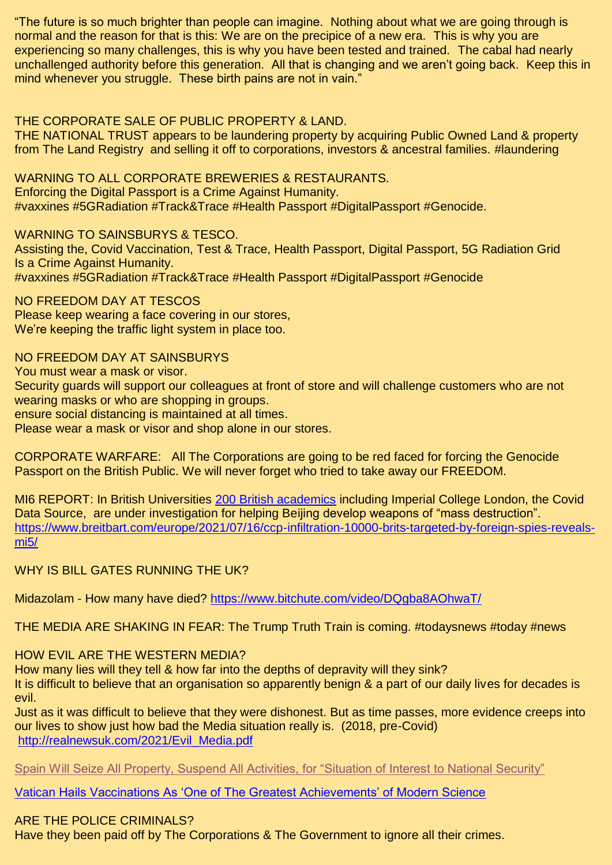"The future is so much brighter than people can imagine. Nothing about what we are going through is normal and the reason for that is this: We are on the precipice of a new era. This is why you are experiencing so many challenges, this is why you have been tested and trained. The cabal had nearly unchallenged authority before this generation. All that is changing and we aren't going back. Keep this in mind whenever you struggle. These birth pains are not in vain."

## THE CORPORATE SALE OF PUBLIC PROPERTY & LAND.

THE NATIONAL TRUST appears to be laundering property by acquiring Public Owned Land & property from The Land Registry and selling it off to corporations, investors & ancestral families. #laundering

WARNING TO ALL CORPORATE BREWERIES & RESTAURANTS. Enforcing the Digital Passport is a Crime Against Humanity. #vaxxines #5GRadiation #Track&Trace #Health Passport #DigitalPassport #Genocide.

WARNING TO SAINSBURYS & TESCO.

Assisting the, Covid Vaccination, Test & Trace, Health Passport, Digital Passport, 5G Radiation Grid Is a Crime Against Humanity.

#vaxxines #5GRadiation #Track&Trace #Health Passport #DigitalPassport #Genocide

NO FREEDOM DAY AT TESCOS

Please keep wearing a face covering in our stores,

We're keeping the traffic light system in place too.

NO FREEDOM DAY AT SAINSBURYS

You must wear a mask or visor.

Security guards will support our colleagues at front of store and will challenge customers who are not wearing masks or who are shopping in groups.

ensure social distancing is maintained at all times.

Please wear a mask or visor and shop alone in our stores.

CORPORATE WARFARE: All The Corporations are going to be red faced for forcing the Genocide Passport on the British Public. We will never forget who tried to take away our FREEDOM.

MI6 REPORT: In British Universities [200 British academics](https://www.thetimes.co.uk/article/hundreds-of-uk-academics-investigated-over-weapons-links-to-china-bpcks76bv) including Imperial College London, the Covid Data Source, are under investigation for helping Beijing develop weapons of "mass destruction". [https://www.breitbart.com/europe/2021/07/16/ccp-infiltration-10000-brits-targeted-by-foreign-spies-reveals](https://www.breitbart.com/europe/2021/07/16/ccp-infiltration-10000-brits-targeted-by-foreign-spies-reveals-mi5/)[mi5/](https://www.breitbart.com/europe/2021/07/16/ccp-infiltration-10000-brits-targeted-by-foreign-spies-reveals-mi5/)

WHY IS BILL GATES RUNNING THE UK?

Midazolam - How many have died? <https://www.bitchute.com/video/DQgba8AOhwaT/>

THE MEDIA ARE SHAKING IN FEAR: The Trump Truth Train is coming. #todaysnews #today #news

HOW EVIL ARE THE WESTERN MEDIA?

How many lies will they tell & how far into the depths of depravity will they sink?

It is difficult to believe that an organisation so apparently benign & a part of our daily lives for decades is evil.

Just as it was difficult to believe that they were dishonest. But as time passes, more evidence creeps into our lives to show just how bad the Media situation really is. (2018, pre-Covid) [http://realnewsuk.com/2021/Evil\\_Media.pdf](http://realnewsuk.com/2021/Evil_Media.pdf)

[Spain Will Seize All Property, Suspend All Activities, for "Situation of Interest to National Security"](https://geopolitics.co/2021/07/06/spain-will-seize-all-property-suspend-all-activities-for-situation-of-interest-to-national-security/)

Vatican [Hails Vaccinations As 'One of The Greatest Achievements' of Modern Science](https://geopolitics.co/2021/07/03/vatican-hails-vaccinations-as-one-of-the-greatest-achievements-of-modern-science/)

## ARE THE POLICE CRIMINALS?

Have they been paid off by The Corporations & The Government to ignore all their crimes.